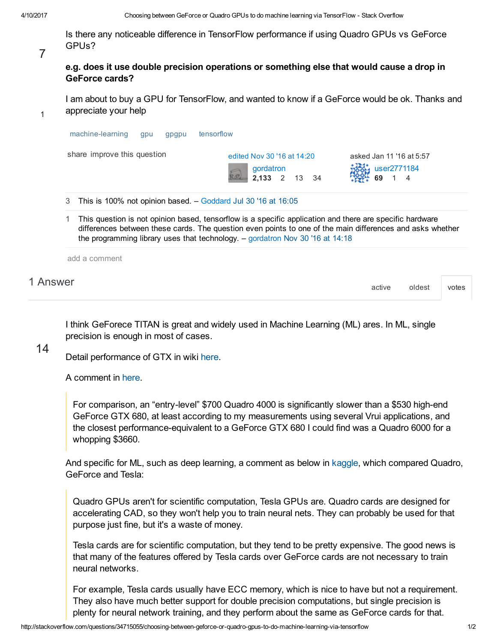Is there any noticeable difference in TensorFlow performance if using Quadro GPUs vs GeForce GPUs?

7

1

| e.g. does it use double precision operations or something else that would cause a drop in |  |
|-------------------------------------------------------------------------------------------|--|
| <b>GeForce cards?</b>                                                                     |  |

I am about to buy a GPU for TensorFlow, and wanted to know if a GeForce would be ok. Thanks and appreciate your help

| share improve this question | edited Nov 30 '16 at 14:20<br>gordatron                                                                                                                                                                                                                                                                  | asked Jan 11 '16 at 5:57<br>user2771184<br>69 |
|-----------------------------|----------------------------------------------------------------------------------------------------------------------------------------------------------------------------------------------------------------------------------------------------------------------------------------------------------|-----------------------------------------------|
| 3                           | This is 100% not opinion based. - Goddard Jul 30 '16 at 16:05                                                                                                                                                                                                                                            |                                               |
|                             | This question is not opinion based, tensorflow is a specific application and there are specific hardware<br>differences between these cards. The question even points to one of the main differences and asks whether<br>the programming library uses that technology. $-$ gordatron Nov 30 '16 at 14:18 |                                               |
|                             |                                                                                                                                                                                                                                                                                                          |                                               |

I think GeForece TITAN is great and widely used in Machine Learning (ML) ares. In ML, single precision is enough in most of cases.

## 14

Detail performance of GTX in wiki [here](https://en.wikipedia.org/wiki/GeForce_900_series).

A comment in [here](http://doc-ok.org/?p=304).

For comparison, an "entry-level" \$700 Quadro 4000 is significantly slower than a \$530 high-end GeForce GTX 680, at least according to my measurements using several Vrui applications, and the closest performance-equivalent to a GeForce GTX 680 I could find was a Quadro 6000 for a whopping \$3660.

And specific for ML, such as deep learning, a comment as below in [kaggle](https://www.kaggle.com/forums/f/15/kaggle-forum/t/11332/quadro-vs-geforce-gpus-for-neural-networks-in-kaggle-competitions/61844), which compared Quadro, GeForce and Tesla:

Quadro GPUs aren't for scientific computation, Tesla GPUs are. Quadro cards are designed for accelerating CAD, so they won't help you to train neural nets. They can probably be used for that purpose just fine, but it's a waste of money.

Tesla cards are for scientific computation, but they tend to be pretty expensive. The good news is that many of the features offered by Tesla cards over GeForce cards are not necessary to train neural networks.

For example, Tesla cards usually have ECC memory, which is nice to have but not a requirement. They also have much better support for double precision computations, but single precision is plenty for neural network training, and they perform about the same as GeForce cards for that.

[active](http://stackoverflow.com/questions/34715055/choosing-between-geforce-or-quadro-gpus-to-do-machine-learning-via-tensorflow?answertab=active#tab-top) [oldest](http://stackoverflow.com/questions/34715055/choosing-between-geforce-or-quadro-gpus-to-do-machine-learning-via-tensorflow?answertab=oldest#tab-top) [votes](http://stackoverflow.com/questions/34715055/choosing-between-geforce-or-quadro-gpus-to-do-machine-learning-via-tensorflow?answertab=votes#tab-top)